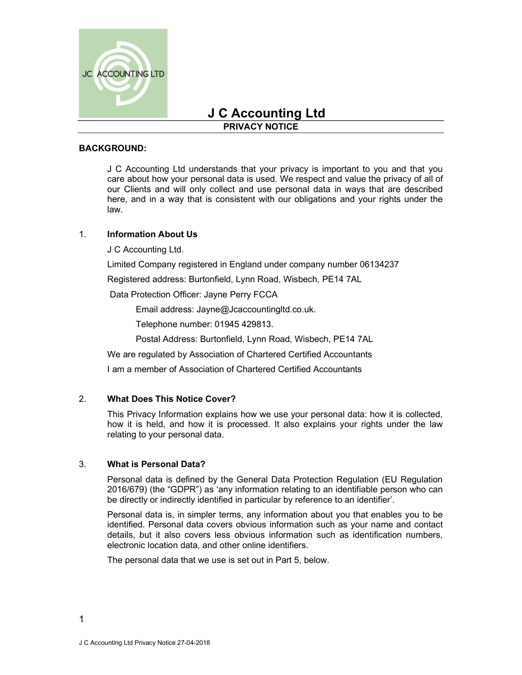

# J C Accounting Ltd

# PRIVACY NOTICE

#### BACKGROUND:

 J C Accounting Ltd understands that your privacy is important to you and that you care about how your personal data is used. We respect and value the privacy of all of our Clients and will only collect and use personal data in ways that are described here, and in a way that is consistent with our obligations and your rights under the law.

# 1. Information About Us

J C Accounting Ltd.

Limited Company registered in England under company number 06134237

Registered address: Burtonfield, Lynn Road, Wisbech, PE14 7AL

Data Protection Officer: Jayne Perry FCCA

Email address: Jayne@Jcaccountingltd.co.uk.

Telephone number: 01945 429813.

Postal Address: Burtonfield, Lynn Road, Wisbech, PE14 7AL

We are regulated by Association of Chartered Certified Accountants

I am a member of Association of Chartered Certified Accountants

# 2. What Does This Notice Cover?

This Privacy Information explains how we use your personal data: how it is collected, how it is held, and how it is processed. It also explains your rights under the law relating to your personal data.

#### 3. What is Personal Data?

Personal data is defined by the General Data Protection Regulation (EU Regulation 2016/679) (the "GDPR") as 'any information relating to an identifiable person who can be directly or indirectly identified in particular by reference to an identifier'.

Personal data is, in simpler terms, any information about you that enables you to be identified. Personal data covers obvious information such as your name and contact details, but it also covers less obvious information such as identification numbers, electronic location data, and other online identifiers.

The personal data that we use is set out in Part 5, below.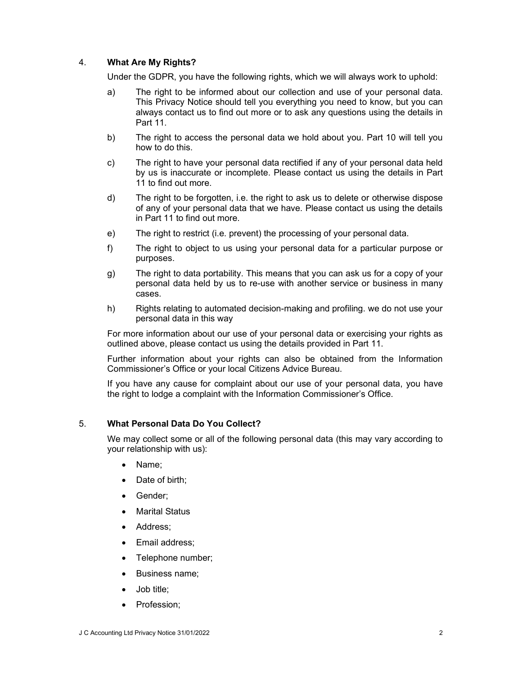# 4. What Are My Rights?

Under the GDPR, you have the following rights, which we will always work to uphold:

- a) The right to be informed about our collection and use of your personal data. This Privacy Notice should tell you everything you need to know, but you can always contact us to find out more or to ask any questions using the details in Part 11.
- b) The right to access the personal data we hold about you. Part 10 will tell you how to do this.
- c) The right to have your personal data rectified if any of your personal data held by us is inaccurate or incomplete. Please contact us using the details in Part 11 to find out more.
- d) The right to be forgotten, i.e. the right to ask us to delete or otherwise dispose of any of your personal data that we have. Please contact us using the details in Part 11 to find out more.
- e) The right to restrict (i.e. prevent) the processing of your personal data.
- f) The right to object to us using your personal data for a particular purpose or purposes.
- g) The right to data portability. This means that you can ask us for a copy of your personal data held by us to re-use with another service or business in many cases.
- h) Rights relating to automated decision-making and profiling. we do not use your personal data in this way

For more information about our use of your personal data or exercising your rights as outlined above, please contact us using the details provided in Part 11.

Further information about your rights can also be obtained from the Information Commissioner's Office or your local Citizens Advice Bureau.

If you have any cause for complaint about our use of your personal data, you have the right to lodge a complaint with the Information Commissioner's Office.

#### 5. What Personal Data Do You Collect?

We may collect some or all of the following personal data (this may vary according to your relationship with us):

- Name;
- Date of birth:
- Gender;
- Marital Status
- Address:
- Email address;
- Telephone number;
- Business name:
- Job title;
- Profession;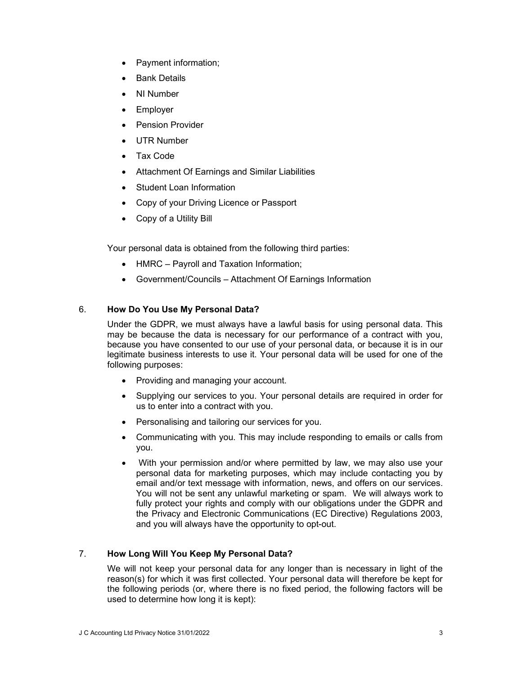- Payment information;
- Bank Details
- NI Number
- Employer
- Pension Provider
- UTR Number
- Tax Code
- Attachment Of Earnings and Similar Liabilities
- Student Loan Information
- Copy of your Driving Licence or Passport
- Copy of a Utility Bill

Your personal data is obtained from the following third parties:

- HMRC Payroll and Taxation Information;
- Government/Councils Attachment Of Earnings Information

# 6. How Do You Use My Personal Data?

Under the GDPR, we must always have a lawful basis for using personal data. This may be because the data is necessary for our performance of a contract with you, because you have consented to our use of your personal data, or because it is in our legitimate business interests to use it. Your personal data will be used for one of the following purposes:

- Providing and managing your account.
- Supplying our services to you. Your personal details are required in order for us to enter into a contract with you.
- Personalising and tailoring our services for you.
- Communicating with you. This may include responding to emails or calls from you.
- With your permission and/or where permitted by law, we may also use your personal data for marketing purposes, which may include contacting you by email and/or text message with information, news, and offers on our services. You will not be sent any unlawful marketing or spam. We will always work to fully protect your rights and comply with our obligations under the GDPR and the Privacy and Electronic Communications (EC Directive) Regulations 2003, and you will always have the opportunity to opt-out.

# 7. How Long Will You Keep My Personal Data?

We will not keep your personal data for any longer than is necessary in light of the reason(s) for which it was first collected. Your personal data will therefore be kept for the following periods (or, where there is no fixed period, the following factors will be used to determine how long it is kept):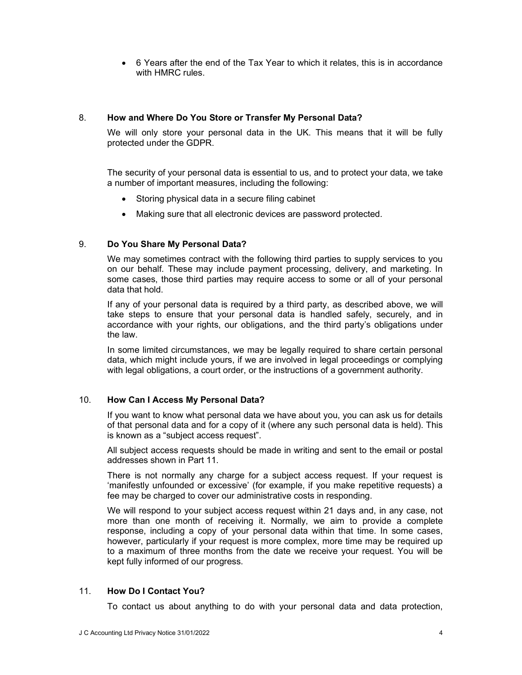6 Years after the end of the Tax Year to which it relates, this is in accordance with HMRC rules.

#### 8. How and Where Do You Store or Transfer My Personal Data?

We will only store your personal data in the UK. This means that it will be fully protected under the GDPR.

The security of your personal data is essential to us, and to protect your data, we take a number of important measures, including the following:

- Storing physical data in a secure filing cabinet
- Making sure that all electronic devices are password protected.

# 9. Do You Share My Personal Data?

We may sometimes contract with the following third parties to supply services to you on our behalf. These may include payment processing, delivery, and marketing. In some cases, those third parties may require access to some or all of your personal data that hold.

If any of your personal data is required by a third party, as described above, we will take steps to ensure that your personal data is handled safely, securely, and in accordance with your rights, our obligations, and the third party's obligations under the law.

In some limited circumstances, we may be legally required to share certain personal data, which might include yours, if we are involved in legal proceedings or complying with legal obligations, a court order, or the instructions of a government authority.

# 10. How Can I Access My Personal Data?

If you want to know what personal data we have about you, you can ask us for details of that personal data and for a copy of it (where any such personal data is held). This is known as a "subject access request".

All subject access requests should be made in writing and sent to the email or postal addresses shown in Part 11.

There is not normally any charge for a subject access request. If your request is 'manifestly unfounded or excessive' (for example, if you make repetitive requests) a fee may be charged to cover our administrative costs in responding.

We will respond to your subject access request within 21 days and, in any case, not more than one month of receiving it. Normally, we aim to provide a complete response, including a copy of your personal data within that time. In some cases, however, particularly if your request is more complex, more time may be required up to a maximum of three months from the date we receive your request. You will be kept fully informed of our progress.

# 11. How Do I Contact You?

To contact us about anything to do with your personal data and data protection,